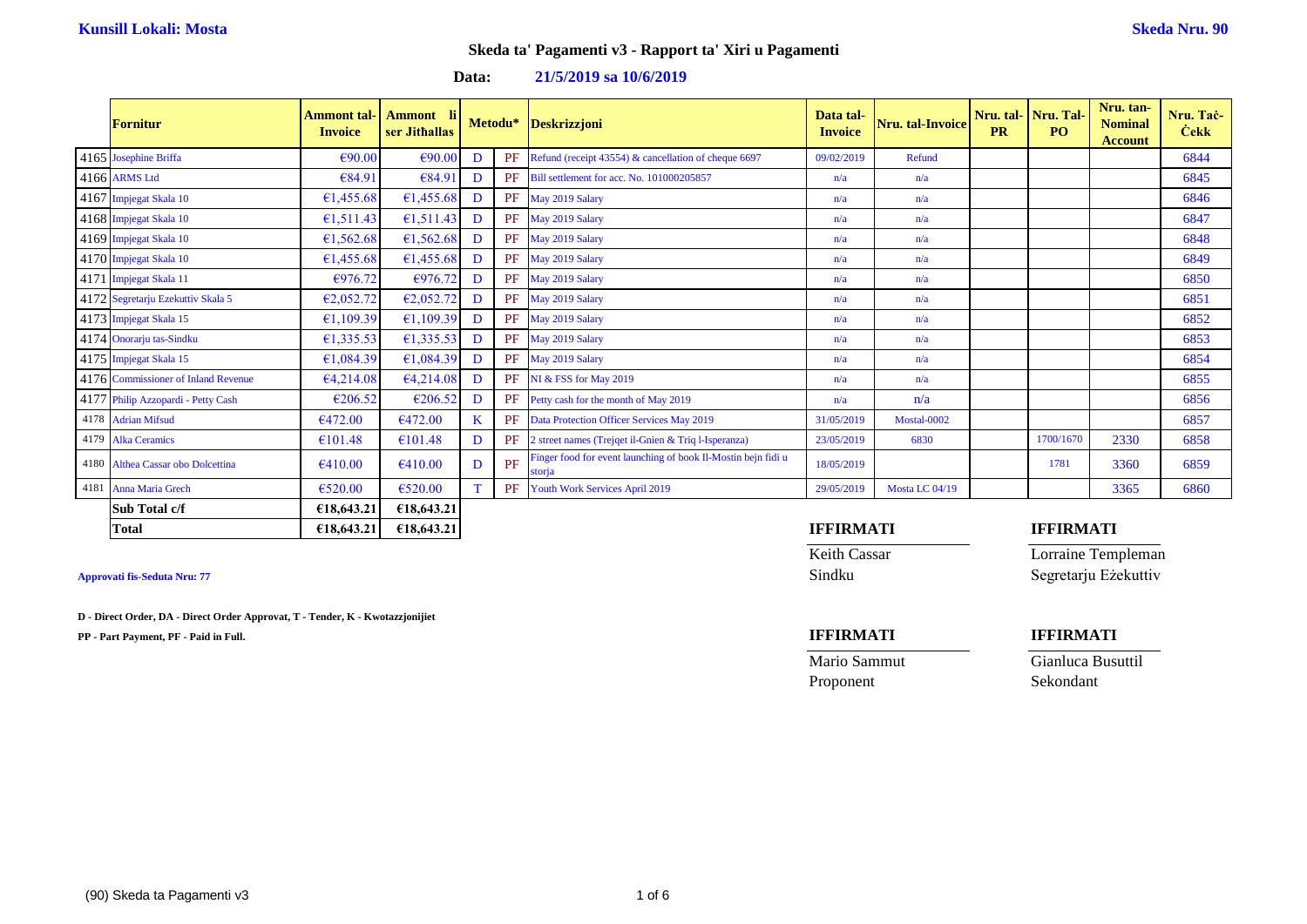### **Data: 21/5/2019 sa 10/6/2019**

|      | Fornitur                            | Ammont tal-<br><b>Invoice</b> | Ammont li<br>ser Jithallas |    | Metodu* | <b>Deskrizzjoni</b>                                                     | Data tal-<br><b>Invoice</b> | Nru. tal-Invoice | <b>PR</b> | Nru. tal-Nru. Tal-<br>PO. | Nru. tan-<br><b>Nominal</b><br><b>Account</b> | Nru. Tač-<br><b>Cekk</b> |
|------|-------------------------------------|-------------------------------|----------------------------|----|---------|-------------------------------------------------------------------------|-----------------------------|------------------|-----------|---------------------------|-----------------------------------------------|--------------------------|
|      | 4165 Josephine Briffa               | €90.00                        | €90.00                     | D  | PF      | Refund (receipt 43554) & cancellation of cheque 6697                    | 09/02/2019                  | Refund           |           |                           |                                               | 6844                     |
|      | 4166 ARMS Ltd                       | €84.91                        | €84.91                     | D  | PF      | Bill settlement for acc. No. 101000205857                               | n/a                         | n/a              |           |                           |                                               | 6845                     |
|      | 4167 Impjegat Skala 10              | 61,455.68                     | 61,455.68                  | D  | PF      | May 2019 Salary                                                         | n/a                         | n/a              |           |                           |                                               | 6846                     |
|      | 4168 Impjegat Skala 10              | 61,511.43                     | 61,511.43                  | D  |         | PF May 2019 Salary                                                      | n/a                         | n/a              |           |                           |                                               | 6847                     |
|      | 4169 Impjegat Skala 10              | 61,562.68                     | 61,562.68                  | D  |         | PF May 2019 Salary                                                      | n/a                         | n/a              |           |                           |                                               | 6848                     |
|      | 4170 Impjegat Skala 10              | 61,455.68                     | 61,455.68                  | D  |         | PF May 2019 Salary                                                      | n/a                         | n/a              |           |                           |                                               | 6849                     |
|      | 4171 Impjegat Skala 11              | €976.72                       | €976.72                    | D  | PF      | May 2019 Salary                                                         | n/a                         | n/a              |           |                           |                                               | 6850                     |
|      | 4172 Segretarju Ezekuttiv Skala 5   | E2,052.72                     | E2,052.72                  | D  |         | PF May 2019 Salary                                                      | n/a                         | n/a              |           |                           |                                               | 6851                     |
|      | 4173 Impjegat Skala 15              | €1,109.39                     | £1,109.39                  | D  |         | PF May 2019 Salary                                                      | n/a                         | n/a              |           |                           |                                               | 6852                     |
|      | 4174 Onorarju tas-Sindku            | 61,335.53                     | 61,335.53                  | D  |         | PF May 2019 Salary                                                      | n/a                         | n/a              |           |                           |                                               | 6853                     |
|      | 4175 Impjegat Skala 15              | 61,084.39                     | 61,084.39                  | D  |         | PF May 2019 Salary                                                      | n/a                         | n/a              |           |                           |                                               | 6854                     |
|      | 4176 Commissioner of Inland Revenue | 64,214.08                     | 64,214.08                  | D  | PF      | NI & FSS for May 2019                                                   | n/a                         | n/a              |           |                           |                                               | 6855                     |
|      | 4177 Philip Azzopardi - Petty Cash  | E206.52                       | €206.52                    | D  | PF      | Petty cash for the month of May 2019                                    | n/a                         | n/a              |           |                           |                                               | 6856                     |
| 4178 | <b>Adrian Mifsud</b>                | 6472.00                       | 6472.00                    | K. | PF      | Data Protection Officer Services May 2019                               | 31/05/2019                  | Mostal-0002      |           |                           |                                               | 6857                     |
| 4179 | <b>Alka Ceramics</b>                | €101.48                       | €101.48                    | D  | PF      | 2 street names (Trejqet il-Gnien & Triq l-Isperanza)                    | 23/05/2019                  | 6830             |           | 1700/1670                 | 2330                                          | 6858                     |
| 4180 | Althea Cassar obo Dolcettina        | 6410.00                       | €410.00                    | D  | PF      | Finger food for event launching of book Il-Mostin bejn fidi u<br>storia | 18/05/2019                  |                  |           | 1781                      | 3360                                          | 6859                     |
|      | 4181 Anna Maria Grech               | €520.00                       | €520.00                    |    | PF      | Youth Work Services April 2019                                          | 29/05/2019                  | Mosta LC 04/19   |           |                           | 3365                                          | 6860                     |
|      | Sub Total c/f                       | €18,643.21                    | €18,643.21                 |    |         |                                                                         |                             |                  |           |                           |                                               |                          |

**D - Direct Order, DA - Direct Order Approvat, T - Tender, K - Kwotazzjonijiet**

**PP - Part Payment, PF - Paid in Full. IFFIRMATI IFFIRMATI**

Proponent Sekondant

### **Total €18,643.21 €18,643.21 IFFIRMATI IFFIRMATI**

**Keith Cassar Lorraine Templeman Approvati fis-Seduta Nru: 77** Sindku Segretarju Eżekuttiv

Mario Sammut Gianluca Busuttil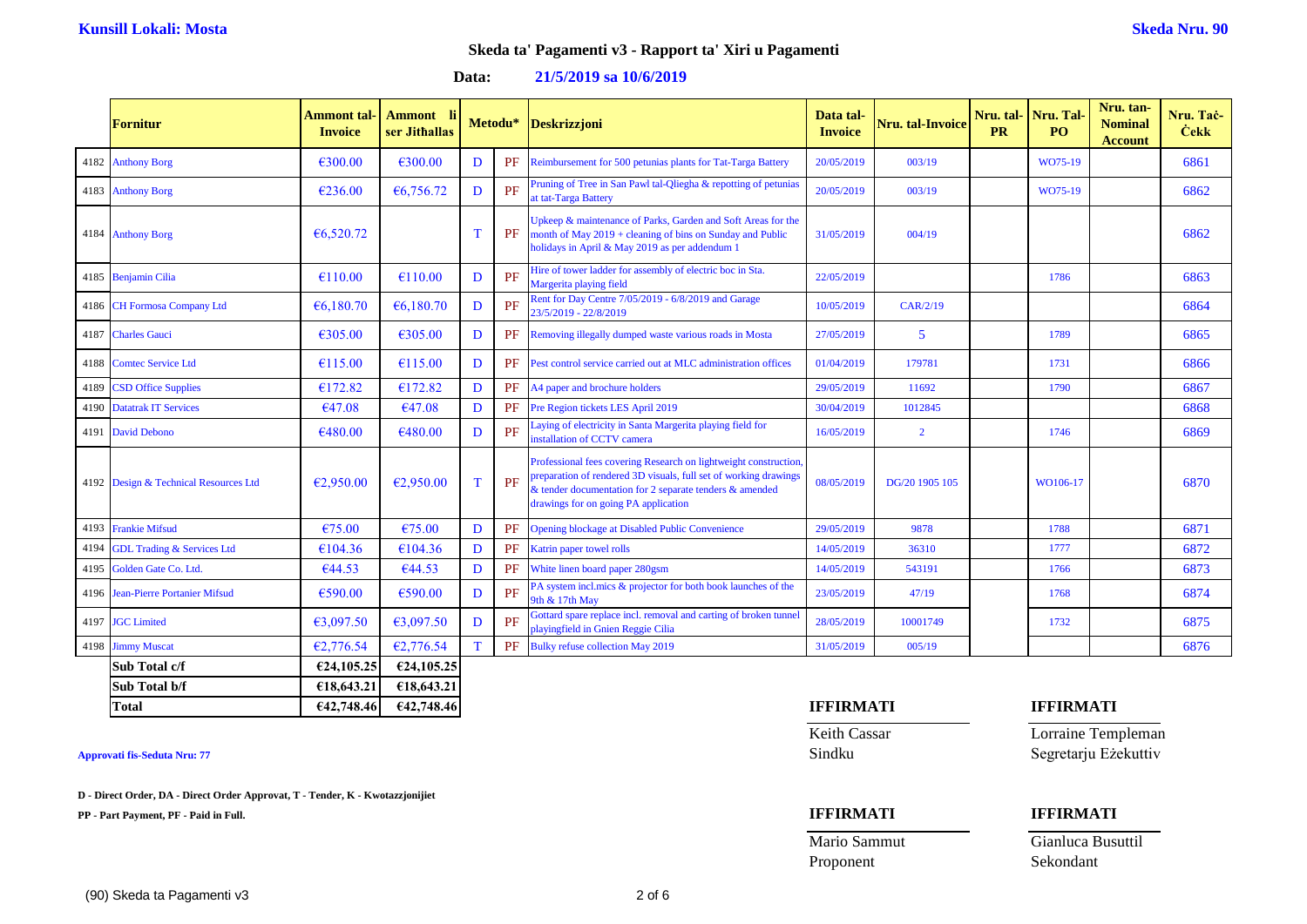### **Data: 21/5/2019 sa 10/6/2019**

|      | <b>Fornitur</b>                       | Ammont tal-<br><b>Invoice</b> | <b>Ammont</b><br>ser Jithallas |             | Metodu* | Deskrizzjoni                                                                                                                                                                                                                           | Data tal-<br><b>Invoice</b> | Nru. tal-Invoice | <b>PR</b> | Nru. tal- Nru. Tal-<br>PO <sub>1</sub> | Nru. tan-<br><b>Nominal</b><br><b>Account</b> | Nru. Tač<br><b>Cekk</b> |
|------|---------------------------------------|-------------------------------|--------------------------------|-------------|---------|----------------------------------------------------------------------------------------------------------------------------------------------------------------------------------------------------------------------------------------|-----------------------------|------------------|-----------|----------------------------------------|-----------------------------------------------|-------------------------|
|      | 4182 Anthony Borg                     | €300.00                       | €300.00                        | D           | PF      | Reimbursement for 500 petunias plants for Tat-Targa Battery                                                                                                                                                                            | 20/05/2019                  | 003/19           |           | WO75-19                                |                                               | 6861                    |
|      | 4183 Anthony Borg                     | €236.00                       | €6,756.72                      | D           | PF      | Pruning of Tree in San Pawl tal-Qliegha & repotting of petunias<br>at tat-Targa Battery                                                                                                                                                | 20/05/2019                  | 003/19           |           | WO75-19                                |                                               | 6862                    |
|      | 4184 Anthony Borg                     | 66,520.72                     |                                | $\mathbf T$ | PF      | Upkeep & maintenance of Parks, Garden and Soft Areas for the<br>month of May $2019 + \text{cleaning}$ of bins on Sunday and Public<br>holidays in April & May 2019 as per addendum 1                                                   | 31/05/2019                  | 004/19           |           |                                        |                                               | 6862                    |
|      | 4185 Benjamin Cilia                   | €110.00                       | €110.00                        | D           | PF      | Hire of tower ladder for assembly of electric boc in Sta.<br>Margerita playing field                                                                                                                                                   | 22/05/2019                  |                  |           | 1786                                   |                                               | 6863                    |
|      | 4186 CH Formosa Company Ltd           | 66,180.70                     | 66,180.70                      | D           | PF      | Rent for Day Centre 7/05/2019 - 6/8/2019 and Garage<br>23/5/2019 - 22/8/2019                                                                                                                                                           | 10/05/2019                  | CAR/2/19         |           |                                        |                                               | 6864                    |
|      | 4187 Charles Gauci                    | €305.00                       | €305.00                        | D           | PF      | Removing illegally dumped waste various roads in Mosta                                                                                                                                                                                 | 27/05/2019                  | 5                |           | 1789                                   |                                               | 6865                    |
| 4188 | <b>Comtec Service Ltd</b>             | $\epsilon$ 115.00             | €115.00                        | D           | PF      | Pest control service carried out at MLC administration offices                                                                                                                                                                         | 01/04/2019                  | 179781           |           | 1731                                   |                                               | 6866                    |
| 4189 | <b>CSD Office Supplies</b>            | €172.82                       | €172.82                        | D           | PF      | A4 paper and brochure holders                                                                                                                                                                                                          | 29/05/2019                  | 11692            |           | 1790                                   |                                               | 6867                    |
| 4190 | <b>Datatrak IT Services</b>           | €47.08                        | €47.08                         | D           | PF      | Pre Region tickets LES April 2019                                                                                                                                                                                                      | 30/04/2019                  | 1012845          |           |                                        |                                               | 6868                    |
| 4191 | <b>David Debono</b>                   | €480.00                       | €480.00                        | D           | PF      | Laying of electricity in Santa Margerita playing field for<br>installation of CCTV camera                                                                                                                                              | 16/05/2019                  | $\overline{2}$   |           | 1746                                   |                                               | 6869                    |
|      | 4192 Design & Technical Resources Ltd | E2,950.00                     | €2,950.00                      | T           | PF      | Professional fees covering Research on lightweight construction<br>preparation of rendered 3D visuals, full set of working drawings<br>& tender documentation for 2 separate tenders & amended<br>drawings for on going PA application | 08/05/2019                  | DG/20 1905 105   |           | WO106-17                               |                                               | 6870                    |
| 4193 | <b>Frankie Mifsud</b>                 | €75.00                        | €75.00                         | D           | PF      | Opening blockage at Disabled Public Convenience                                                                                                                                                                                        | 29/05/2019                  | 9878             |           | 1788                                   |                                               | 6871                    |
| 4194 | <b>GDL Trading &amp; Services Ltd</b> | €104.36                       | €104.36                        | D           | PF      | Katrin paper towel rolls                                                                                                                                                                                                               | 14/05/2019                  | 36310            |           | 1777                                   |                                               | 6872                    |
| 4195 | Golden Gate Co. Ltd.                  | 644.53                        | 644.53                         | D           | PF      | White linen board paper 280gsm                                                                                                                                                                                                         | 14/05/2019                  | 543191           |           | 1766                                   |                                               | 6873                    |
|      | 4196 Jean-Pierre Portanier Mifsud     | €590.00                       | €590.00                        | D           | PF      | PA system incl.mics & projector for both book launches of the<br>9th & 17th May                                                                                                                                                        | 23/05/2019                  | 47/19            |           | 1768                                   |                                               | 6874                    |
|      | 4197 JGC Limited                      | 63,097.50                     | €3,097.50                      | D           | PF      | Gottard spare replace incl. removal and carting of broken tunnel<br>playingfield in Gnien Reggie Cilia                                                                                                                                 | 28/05/2019                  | 10001749         |           | 1732                                   |                                               | 6875                    |
| 4198 | <b>Jimmy Muscat</b>                   | E2,776.54                     | €2,776.54                      | T           | PF      | Bulky refuse collection May 2019                                                                                                                                                                                                       | 31/05/2019                  | 005/19           |           |                                        |                                               | 6876                    |
|      | Sub Total c/f                         | €24,105.25                    | €24,105.25                     |             |         |                                                                                                                                                                                                                                        |                             |                  |           |                                        |                                               |                         |

**D - Direct Order, DA - Direct Order Approvat, T - Tender, K - Kwotazzjonijiet**

**Sub Total b/f €18,643.21 €18,643.21**

**PP - Part Payment, PF - Paid in Full. IFFIRMATI IFFIRMATI**

### **Total €42,748.46 €42,748.46 IFFIRMATI IFFIRMATI**

Mario Sammut Gianluca Busuttil

Keith Cassar **Lorraine Templeman Approvati fis-Seduta Nru: 77** Sindku Segretarju Eżekuttiv

Proponent Sekondant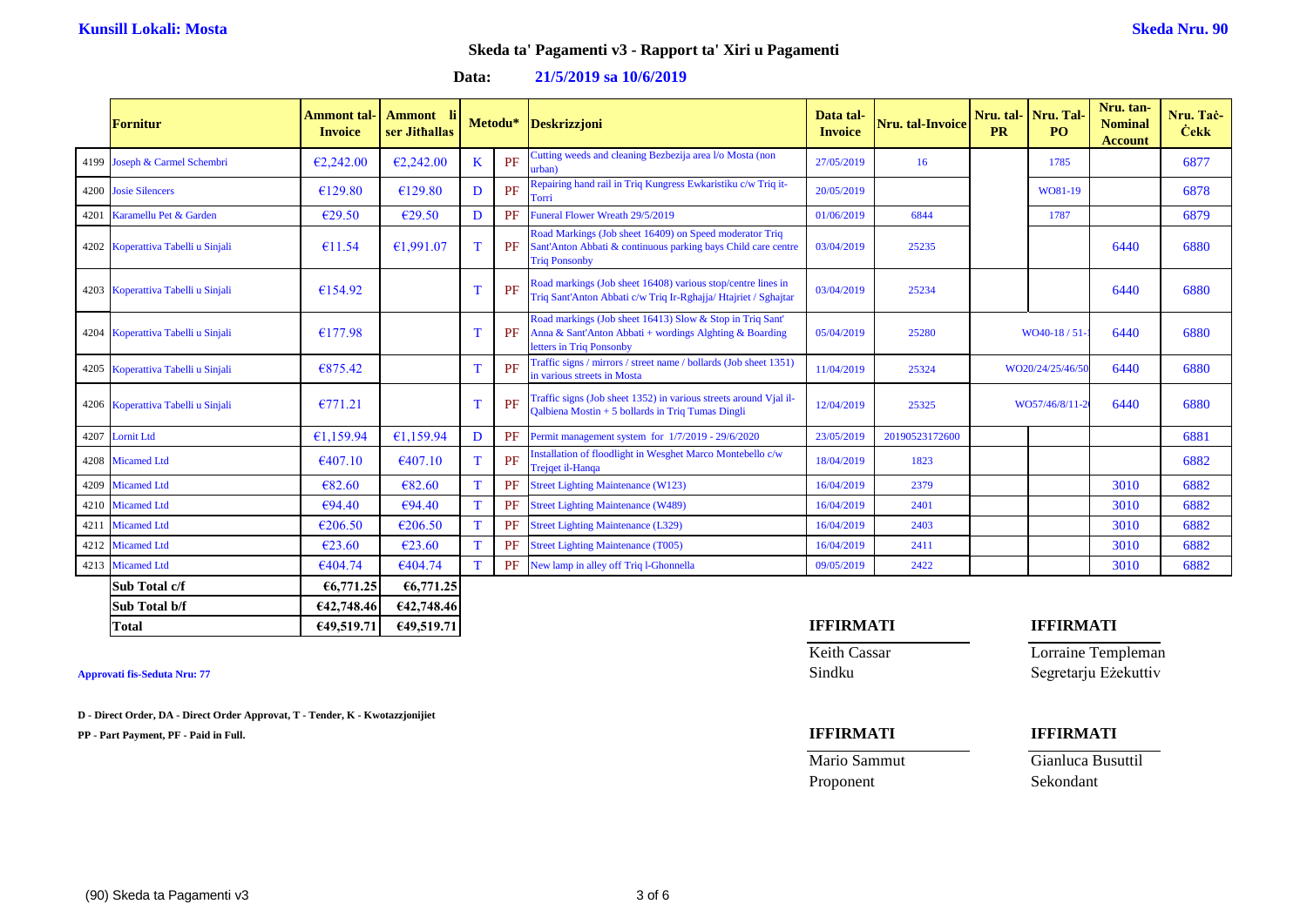### **Data: 21/5/2019 sa 10/6/2019**

|      | <b>Fornitur</b>                    | Ammont tal-<br><b>Invoice</b> | Ammont<br>-li<br>ser Jithallas |             | Metodu*   | Deskrizzjoni                                                                                                                                     | Data tal-<br><b>Invoice</b> | <b>Nru.</b> tal-Invoice | <b>PR</b>        | Nru. tal- Nru. Tal-<br>PO. | Nru. tan-<br><b>Nominal</b><br><b>Account</b> | Nru. Tač-<br><b>Cekk</b> |
|------|------------------------------------|-------------------------------|--------------------------------|-------------|-----------|--------------------------------------------------------------------------------------------------------------------------------------------------|-----------------------------|-------------------------|------------------|----------------------------|-----------------------------------------------|--------------------------|
|      | 4199 Joseph & Carmel Schembri      | E2,242,00                     | E2,242,00                      | K           | PF        | Cutting weeds and cleaning Bezbezija area l/o Mosta (non<br>urban)                                                                               | 27/05/2019                  | 16                      |                  | 1785                       |                                               | 6877                     |
|      | 4200 Josie Silencers               | €129.80                       | €129.80                        | D           | PF        | Repairing hand rail in Triq Kungress Ewkaristiku c/w Triq it-<br>Torri                                                                           | 20/05/2019                  |                         |                  | WO81-19                    |                                               | 6878                     |
| 4201 | Karamellu Pet & Garden             | €29.50                        | E29.50                         | D           | PF        | Funeral Flower Wreath 29/5/2019                                                                                                                  | 01/06/2019                  | 6844                    |                  | 1787                       |                                               | 6879                     |
|      | 4202 Koperattiva Tabelli u Sinjali | €11.54                        | €1.991.07                      | т           | PF        | Road Markings (Job sheet 16409) on Speed moderator Triq<br>Sant'Anton Abbati & continuous parking bays Child care centre<br><b>Triq Ponsonby</b> | 03/04/2019                  | 25235                   |                  |                            | 6440                                          | 6880                     |
|      | 4203 Koperattiva Tabelli u Sinjali | €154.92                       |                                |             | PF        | Road markings (Job sheet 16408) various stop/centre lines in<br>Triq Sant'Anton Abbati c/w Triq Ir-Rghajja/ Htajriet / Sghajtar                  | 03/04/2019                  | 25234                   |                  |                            | 6440                                          | 6880                     |
|      | 4204 Koperattiva Tabelli u Sinjali | €177.98                       |                                |             | PF        | Road markings (Job sheet 16413) Slow & Stop in Triq Sant'<br>Anna & Sant'Anton Abbati + wordings Alghting & Boarding<br>letters in Triq Ponsonby | 05/04/2019                  | 25280                   | WO40-18 / 51     |                            | 6440                                          | 6880                     |
|      | 4205 Koperattiva Tabelli u Sinjali | €875.42                       |                                |             | <b>PF</b> | Traffic signs / mirrors / street name / bollards (Job sheet 1351)<br>in various streets in Mosta                                                 | 11/04/2019                  | 25324                   | WO20/24/25/46/50 |                            | 6440                                          | 6880                     |
|      | 4206 Koperattiva Tabelli u Sinjali | E771.21                       |                                |             | PF        | Traffic signs (Job sheet 1352) in various streets around Vjal il-<br>Qalbiena Mostin + 5 bollards in Triq Tumas Dingli                           | 12/04/2019                  | 25325                   |                  | WO57/46/8/11-              | 6440                                          | 6880                     |
| 4207 | <b>Lornit Ltd</b>                  | £1.159.94                     | 61,159.94                      | D           | PF        | Permit management system for 1/7/2019 - 29/6/2020                                                                                                | 23/05/2019                  | 20190523172600          |                  |                            |                                               | 6881                     |
|      | 4208 Micamed Ltd                   | €407.10                       | €407.10                        | т           | PF        | Installation of floodlight in Wesghet Marco Montebello c/w<br>Trejqet il-Hanqa                                                                   | 18/04/2019                  | 1823                    |                  |                            |                                               | 6882                     |
| 4209 | <b>Micamed Ltd</b>                 | €82.60                        | €82.60                         | $\mathbf T$ | PF        | <b>Street Lighting Maintenance (W123)</b>                                                                                                        | 16/04/2019                  | 2379                    |                  |                            | 3010                                          | 6882                     |
|      | 4210 Micamed Ltd                   | €94.40                        | €94.40                         | T           | PF        | <b>Street Lighting Maintenance (W489)</b>                                                                                                        | 16/04/2019                  | 2401                    |                  |                            | 3010                                          | 6882                     |
|      | 4211 Micamed Ltd                   | €206.50                       | €206.50                        | T           | PF        | <b>Street Lighting Maintenance (L329)</b>                                                                                                        | 16/04/2019                  | 2403                    |                  |                            | 3010                                          | 6882                     |
|      | 4212 Micamed Ltd                   | €23.60                        | €23.60                         |             | PF        | <b>Street Lighting Maintenance (T005)</b>                                                                                                        | 16/04/2019                  | 2411                    |                  |                            | 3010                                          | 6882                     |
|      | 4213 Micamed Ltd                   | €404.74                       | €404.74                        |             | PF        | New lamp in alley off Triq 1-Ghonnella                                                                                                           | 09/05/2019                  | 2422                    |                  |                            | 3010                                          | 6882                     |
|      | Sub Total c/f                      | €6,771,25                     | €6,771.25                      |             |           |                                                                                                                                                  |                             |                         |                  |                            |                                               |                          |
|      | Sub Total b/f                      | €42,748.46                    | €42,748.46                     |             |           |                                                                                                                                                  |                             |                         |                  |                            |                                               |                          |

**D - Direct Order, DA - Direct Order Approvat, T - Tender, K - Kwotazzjonijiet**

**PP - Part Payment, PF - Paid in Full. IFFIRMATI IFFIRMATI**

### **Total €49,519.71 €49,519.71 IFFIRMATI IFFIRMATI**

Keith Cassar **Lorraine Templeman Approvati fis-Seduta Nru: 77** Sindku Segretarju Eżekuttiv

## Proponent Sekondant

Mario Sammut Gianluca Busuttil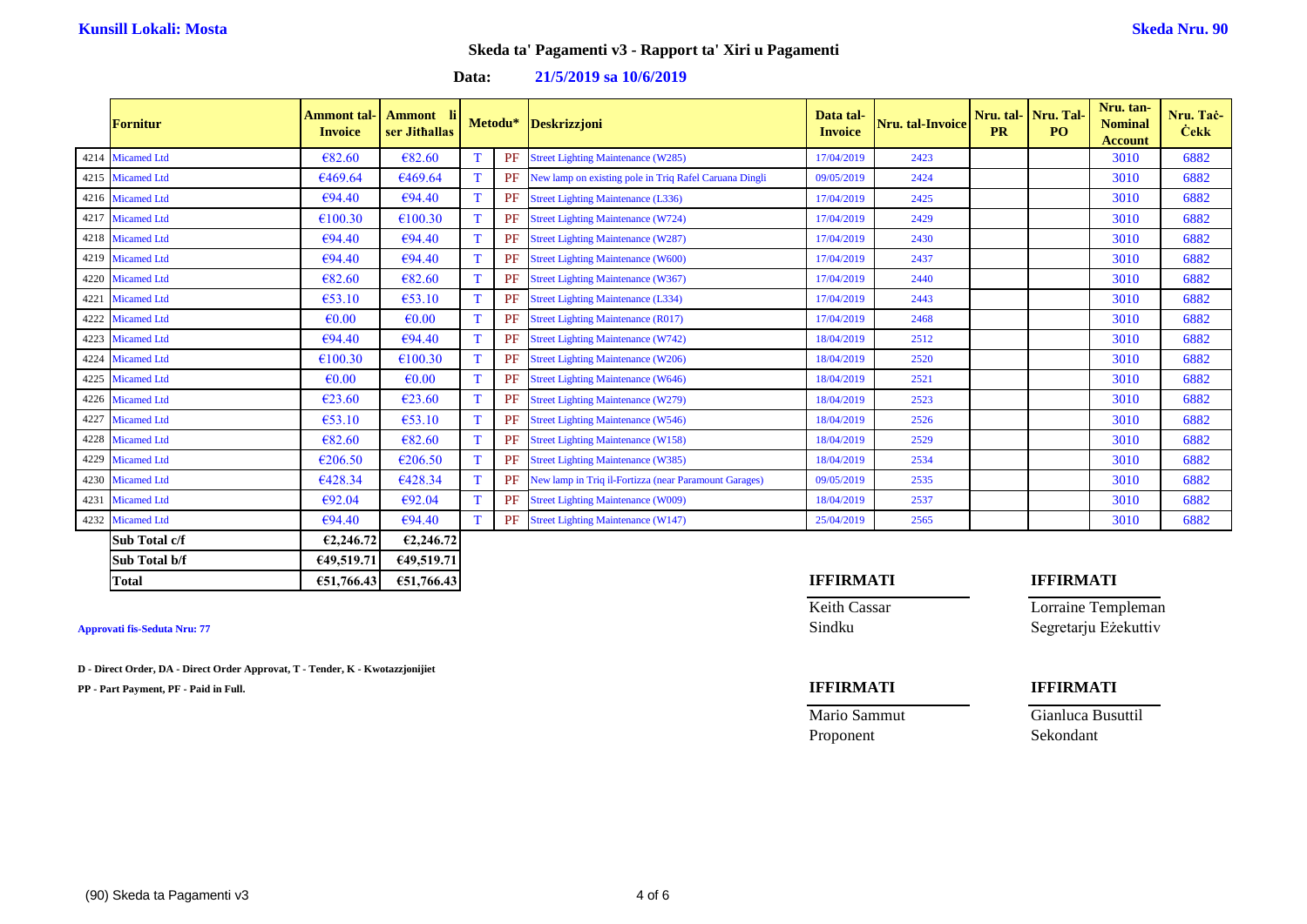### **Data: 21/5/2019 sa 10/6/2019**

| <b>Fornitur</b>  | Ammont tal-<br><b>Invoice</b> | Ammont<br>-lil<br>ser Jithallas |   | Metodu* | <b>Deskrizzjoni</b>                                    | Data tal-<br><b>Invoice</b> | Nru. tal-Invoice | Nru. tal-<br><b>PR</b> | Nru. Tal-<br>PO <sub>1</sub> | Nru. tan-<br><b>Nominal</b><br><b>Account</b> | Nru. Tač-<br><b>Cekk</b> |
|------------------|-------------------------------|---------------------------------|---|---------|--------------------------------------------------------|-----------------------------|------------------|------------------------|------------------------------|-----------------------------------------------|--------------------------|
| 4214 Micamed Ltd | €82.60                        | 682.60                          |   | PF      | <b>Street Lighting Maintenance (W285)</b>              | 17/04/2019                  | 2423             |                        |                              | 3010                                          | 6882                     |
| 4215 Micamed Ltd | €469.64                       | €469.64                         |   | PF      | New lamp on existing pole in Triq Rafel Caruana Dingli | 09/05/2019                  | 2424             |                        |                              | 3010                                          | 6882                     |
| 4216 Micamed Ltd | €94.40                        | €94.40                          |   | PF      | <b>Street Lighting Maintenance (L336)</b>              | 17/04/2019                  | 2425             |                        |                              | 3010                                          | 6882                     |
| 4217 Micamed Ltd | €100.30                       | €100.30                         | T | PF      | <b>Street Lighting Maintenance (W724)</b>              | 17/04/2019                  | 2429             |                        |                              | 3010                                          | 6882                     |
| 4218 Micamed Ltd | €94.40                        | €94.40                          | T | PF      | <b>Street Lighting Maintenance (W287)</b>              | 17/04/2019                  | 2430             |                        |                              | 3010                                          | 6882                     |
| 4219 Micamed Ltd | €94.40                        | €94.40                          |   | PF      | <b>Street Lighting Maintenance (W600)</b>              | 17/04/2019                  | 2437             |                        |                              | 3010                                          | 6882                     |
| 4220 Micamed Ltd | €82.60                        | €82.60                          |   | PF      | <b>Street Lighting Maintenance (W367)</b>              | 17/04/2019                  | 2440             |                        |                              | 3010                                          | 6882                     |
| 4221 Micamed Ltd | €53.10                        | €53.10                          |   | PF      | <b>Street Lighting Maintenance (L334)</b>              | 17/04/2019                  | 2443             |                        |                              | 3010                                          | 6882                     |
| 4222 Micamed Ltd | €0.00                         | $\epsilon$ <sub>0.00</sub>      | T | PF      | <b>Street Lighting Maintenance (R017)</b>              | 17/04/2019                  | 2468             |                        |                              | 3010                                          | 6882                     |
| 4223 Micamed Ltd | €94.40                        | €94.40                          |   | PF      | <b>Street Lighting Maintenance (W742)</b>              | 18/04/2019                  | 2512             |                        |                              | 3010                                          | 6882                     |
| 4224 Micamed Ltd | €100.30                       | €100.30                         | T | PF      | <b>Street Lighting Maintenance (W206)</b>              | 18/04/2019                  | 2520             |                        |                              | 3010                                          | 6882                     |
| 4225 Micamed Ltd | €0.00                         | $\epsilon$ <sub>0.00</sub>      | T | PF      | <b>Street Lighting Maintenance (W646)</b>              | 18/04/2019                  | 2521             |                        |                              | 3010                                          | 6882                     |
| 4226 Micamed Ltd | €23.60                        | $\epsilon$ 23.60                |   | PF      | <b>Street Lighting Maintenance (W279)</b>              | 18/04/2019                  | 2523             |                        |                              | 3010                                          | 6882                     |
| 4227 Micamed Ltd | €53.10                        | €53.10                          |   | PF      | <b>Street Lighting Maintenance (W546)</b>              | 18/04/2019                  | 2526             |                        |                              | 3010                                          | 6882                     |
| 4228 Micamed Ltd | €82.60                        | 682.60                          |   | PF      | <b>Street Lighting Maintenance (W158)</b>              | 18/04/2019                  | 2529             |                        |                              | 3010                                          | 6882                     |
| 4229 Micamed Ltd | €206.50                       | €206.50                         | T | PF      | <b>Street Lighting Maintenance (W385)</b>              | 18/04/2019                  | 2534             |                        |                              | 3010                                          | 6882                     |
| 4230 Micamed Ltd | €428.34                       | €428.34                         |   | PF      | New lamp in Triq il-Fortizza (near Paramount Garages)  | 09/05/2019                  | 2535             |                        |                              | 3010                                          | 6882                     |
| 4231 Micamed Ltd | €92.04                        | €92.04                          |   | PF      | <b>Street Lighting Maintenance (W009)</b>              | 18/04/2019                  | 2537             |                        |                              | 3010                                          | 6882                     |
| 4232 Micamed Ltd | €94.40                        | €94.40                          |   | PF      | <b>Street Lighting Maintenance (W147)</b>              | 25/04/2019                  | 2565             |                        |                              | 3010                                          | 6882                     |
| Sub Total c/f    | €2,246.72                     | E2,246.72                       |   |         |                                                        |                             |                  |                        |                              |                                               |                          |

**D - Direct Order, DA - Direct Order Approvat, T - Tender, K - Kwotazzjonijiet**

**Sub Total b/f €49,519.71 €49,519.71**

**PP - Part Payment, PF - Paid in Full. IFFIRMATI IFFIRMATI**

# **Total €51,766.43 €51,766.43 IFFIRMATI IFFIRMATI**

Keith Cassar **Lorraine Templeman Approvati fis-Seduta Nru: 77** Sindku Segretarju Eżekuttiv

| Mario Sammut | Gianluca Busuttil |
|--------------|-------------------|
| Proponent    | Sekondant         |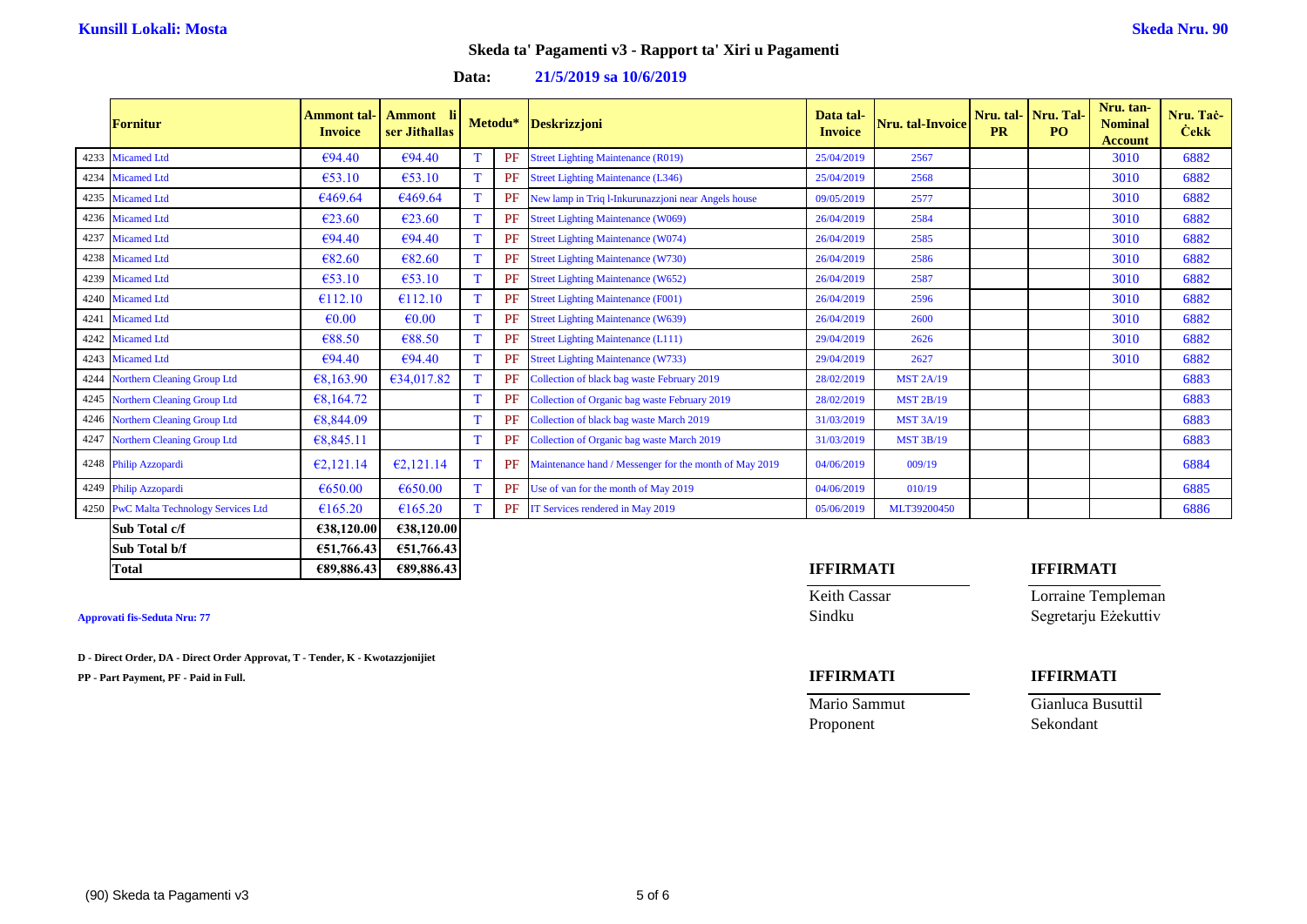### **Data: 21/5/2019 sa 10/6/2019**

|      | Fornitur                                 | Ammont tal·<br><b>Invoice</b> | <b>Ammont</b><br>ser Jithallas | Metodu*   | <b>Deskrizzjoni</b>                                    | Data tal-<br><b>Invoice</b> | <b>Nru.</b> tal-Invoice | <b>PR</b> | Nru. tal-Nru. Tal-<br>P <sub>O</sub> | Nru. tan-<br><b>Nominal</b><br><b>Account</b> | Nru. Tač<br><b>Cekk</b> |
|------|------------------------------------------|-------------------------------|--------------------------------|-----------|--------------------------------------------------------|-----------------------------|-------------------------|-----------|--------------------------------------|-----------------------------------------------|-------------------------|
| 4233 | <b>Micamed Ltd</b>                       | €94.40                        | €94.40                         | <b>PF</b> | <b>Street Lighting Maintenance (R019)</b>              | 25/04/2019                  | 2567                    |           |                                      | 3010                                          | 6882                    |
|      | 4234 Micamed Ltd                         | €53.10                        | €53.10                         | PF        | <b>Street Lighting Maintenance (L346)</b>              | 25/04/2019                  | 2568                    |           |                                      | 3010                                          | 6882                    |
|      | 4235 Micamed Ltd                         | €469.64                       | 6469.64                        | PF        | New lamp in Triq l-Inkurunazzjoni near Angels house    | 09/05/2019                  | 2577                    |           |                                      | 3010                                          | 6882                    |
|      | 4236 Micamed Ltd                         | E23.60                        | €23.60                         | PF        | <b>Street Lighting Maintenance (W069)</b>              | 26/04/2019                  | 2584                    |           |                                      | 3010                                          | 6882                    |
| 4237 | <b>Micamed Ltd</b>                       | €94.40                        | €94.40                         | PF        | <b>Street Lighting Maintenance (W074)</b>              | 26/04/2019                  | 2585                    |           |                                      | 3010                                          | 6882                    |
|      | 4238 Micamed Ltd                         | €82.60                        | €82.60                         | PF        | <b>Street Lighting Maintenance (W730)</b>              | 26/04/2019                  | 2586                    |           |                                      | 3010                                          | 6882                    |
|      | 4239 Micamed Ltd                         | €53.10                        | €53.10                         | PF        | <b>Street Lighting Maintenance (W652)</b>              | 26/04/2019                  | 2587                    |           |                                      | 3010                                          | 6882                    |
| 4240 | <b>Micamed Ltd</b>                       | €112.10                       | €112.10                        | PF        | <b>Street Lighting Maintenance (F001)</b>              | 26/04/2019                  | 2596                    |           |                                      | 3010                                          | 6882                    |
|      | 4241 Micamed Ltd                         | $\epsilon$ 0.00               | €0.00                          | PF        | <b>Street Lighting Maintenance (W639)</b>              | 26/04/2019                  | 2600                    |           |                                      | 3010                                          | 6882                    |
|      | 4242 Micamed Ltd                         | €88.50                        | €88.50                         | PF        | <b>Street Lighting Maintenance (L111)</b>              | 29/04/2019                  | 2626                    |           |                                      | 3010                                          | 6882                    |
|      | 4243 Micamed Ltd                         | €94.40                        | €94.40                         | PF        | <b>Street Lighting Maintenance (W733)</b>              | 29/04/2019                  | 2627                    |           |                                      | 3010                                          | 6882                    |
| 4244 | <b>Northern Cleaning Group Ltd</b>       | 68,163.90                     | 634,017.82                     | PF        | Collection of black bag waste February 2019            | 28/02/2019                  | <b>MST 2A/19</b>        |           |                                      |                                               | 6883                    |
| 4245 | <b>Northern Cleaning Group Ltd</b>       | 68,164.72                     |                                | PF        | Collection of Organic bag waste February 2019          | 28/02/2019                  | <b>MST 2B/19</b>        |           |                                      |                                               | 6883                    |
| 4246 | <b>Northern Cleaning Group Ltd</b>       | €8,844.09                     |                                | PF        | Collection of black bag waste March 2019               | 31/03/2019                  | <b>MST 3A/19</b>        |           |                                      |                                               | 6883                    |
| 4247 | <b>Northern Cleaning Group Ltd</b>       | 68,845.11                     |                                | PF        | Collection of Organic bag waste March 2019             | 31/03/2019                  | <b>MST 3B/19</b>        |           |                                      |                                               | 6883                    |
| 4248 | Philip Azzopardi                         | E2,121.14                     | E2,121.14                      | PF        | Maintenance hand / Messenger for the month of May 2019 | 04/06/2019                  | 009/19                  |           |                                      |                                               | 6884                    |
| 4249 | Philip Azzopardi                         | €650.00                       | €650.00                        | PF        | Use of van for the month of May 2019                   | 04/06/2019                  | 010/19                  |           |                                      |                                               | 6885                    |
| 4250 | <b>PwC Malta Technology Services Ltd</b> | €165.20                       | €165.20                        | PF        | IT Services rendered in May 2019                       | 05/06/2019                  | MLT39200450             |           |                                      |                                               | 6886                    |
|      | Sub Total c/f                            | €38,120.00                    | €38,120.00                     |           |                                                        |                             |                         |           |                                      |                                               |                         |

### **Sub Total b/f €51,766.43 €51,766.43 Total €89,886.43 €89,886.43 IFFIRMATI IFFIRMATI**

**D - Direct Order, DA - Direct Order Approvat, T - Tender, K - Kwotazzjonijiet**

**PP - Part Payment, PF - Paid in Full. IFFIRMATI IFFIRMATI**

Keith Cassar **Lorraine Templeman Approvati fis-Seduta Nru: 77** Sindku Segretarju Eżekuttiv

| Mario Sammut | Gianluca Busuttil |
|--------------|-------------------|
| Proponent    | Sekondant         |